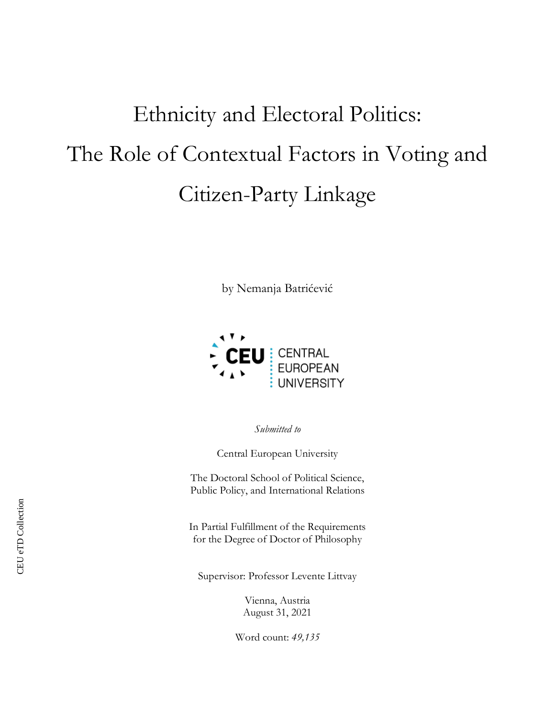# Ethnicity and Electoral Politics: The Role of Contextual Factors in Voting and Citizen-Party Linkage

by Nemanja Batrićević



*Submitted to*

Central European University

The Doctoral School of Political Science, Public Policy, and International Relations

In Partial Fulfillment of the Requirements for the Degree of Doctor of Philosophy

Supervisor: Professor Levente Littvay

Vienna, Austria August 31, 2021

Word count: *49,135*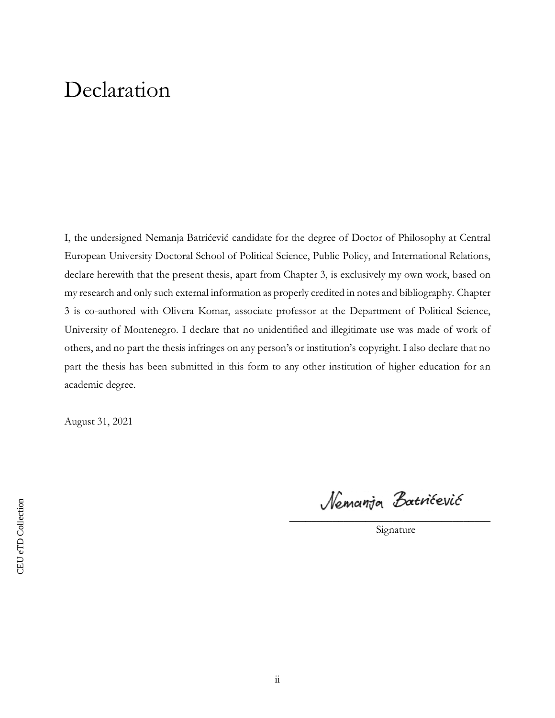## Declaration

I, the undersigned Nemanja Batrićević candidate for the degree of Doctor of Philosophy at Central European University Doctoral School of Political Science, Public Policy, and International Relations, declare herewith that the present thesis, apart from Chapter 3, is exclusively my own work, based on my research and only such external information as properly credited in notes and bibliography. Chapter 3 is co-authored with Olivera Komar, associate professor at the Department of Political Science, University of Montenegro. I declare that no unidentified and illegitimate use was made of work of others, and no part the thesis infringes on any person's or institution's copyright. I also declare that no part the thesis has been submitted in this form to any other institution of higher education for an academic degree.

August 31, 2021

Nemanja Batrićević

\_\_\_\_\_\_\_\_\_\_\_\_\_\_\_\_\_\_\_\_\_\_\_\_\_\_\_\_\_\_\_\_\_\_\_\_\_ Signature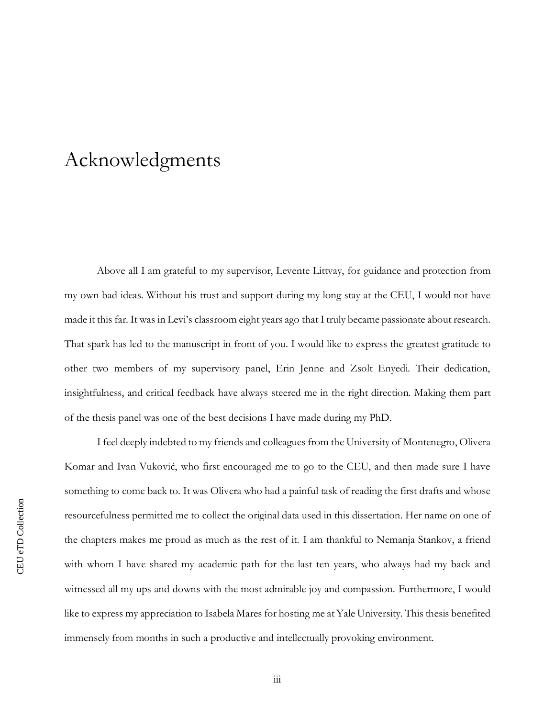### Acknowledgments

Above all I am grateful to my supervisor, Levente Littvay, for guidance and protection from my own bad ideas. Without his trust and support during my long stay at the CEU, I would not have made it this far. It was in Levi's classroom eight years ago that I truly became passionate about research. That spark has led to the manuscript in front of you. I would like to express the greatest gratitude to other two members of my supervisory panel, Erin Jenne and Zsolt Enyedi. Their dedication, insightfulness, and critical feedback have always steered me in the right direction. Making them part of the thesis panel was one of the best decisions I have made during my PhD.

I feel deeply indebted to my friends and colleagues from the University of Montenegro, Olivera Komar and Ivan Vuković, who first encouraged me to go to the CEU, and then made sure I have something to come back to. It was Olivera who had a painful task of reading the first drafts and whose resourcefulness permitted me to collect the original data used in this dissertation. Her name on one of the chapters makes me proud as much as the rest of it. I am thankful to Nemanja Stankov, a friend with whom I have shared my academic path for the last ten years, who always had my back and witnessed all my ups and downs with the most admirable joy and compassion. Furthermore, I would like to express my appreciation to Isabela Mares for hosting me at Yale University. This thesis benefited immensely from months in such a productive and intellectually provoking environment.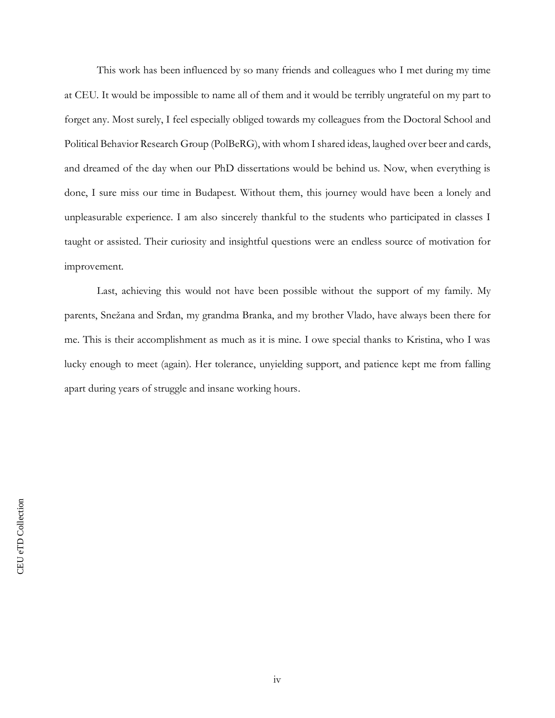This work has been influenced by so many friends and colleagues who I met during my time at CEU. It would be impossible to name all of them and it would be terribly ungrateful on my part to forget any. Most surely, I feel especially obliged towards my colleagues from the Doctoral School and Political Behavior Research Group (PolBeRG), with whom I shared ideas, laughed over beer and cards, and dreamed of the day when our PhD dissertations would be behind us. Now, when everything is done, I sure miss our time in Budapest. Without them, this journey would have been a lonely and unpleasurable experience. I am also sincerely thankful to the students who participated in classes I taught or assisted. Their curiosity and insightful questions were an endless source of motivation for improvement.

Last, achieving this would not have been possible without the support of my family. My parents, Snežana and Srđan, my grandma Branka, and my brother Vlado, have always been there for me. This is their accomplishment as much as it is mine. I owe special thanks to Kristina, who I was lucky enough to meet (again). Her tolerance, unyielding support, and patience kept me from falling apart during years of struggle and insane working hours.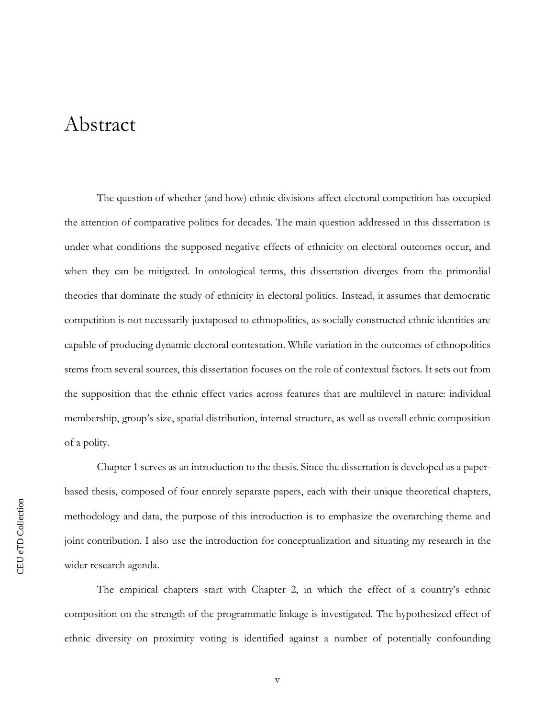### Abstract

The question of whether (and how) ethnic divisions affect electoral competition has occupied the attention of comparative politics for decades. The main question addressed in this dissertation is under what conditions the supposed negative effects of ethnicity on electoral outcomes occur, and when they can be mitigated. In ontological terms, this dissertation diverges from the primordial theories that dominate the study of ethnicity in electoral politics. Instead, it assumes that democratic competition is not necessarily juxtaposed to ethnopolitics, as socially constructed ethnic identities are capable of producing dynamic electoral contestation. While variation in the outcomes of ethnopolitics stems from several sources, this dissertation focuses on the role of contextual factors. It sets out from the supposition that the ethnic effect varies across features that are multilevel in nature: individual membership, group's size, spatial distribution, internal structure, as well as overall ethnic composition of a polity.

Chapter 1 serves as an introduction to the thesis. Since the dissertation is developed as a paperbased thesis, composed of four entirely separate papers, each with their unique theoretical chapters, methodology and data, the purpose of this introduction is to emphasize the overarching theme and joint contribution. I also use the introduction for conceptualization and situating my research in the wider research agenda.

The empirical chapters start with Chapter 2, in which the effect of a country's ethnic composition on the strength of the programmatic linkage is investigated. The hypothesized effect of ethnic diversity on proximity voting is identified against a number of potentially confounding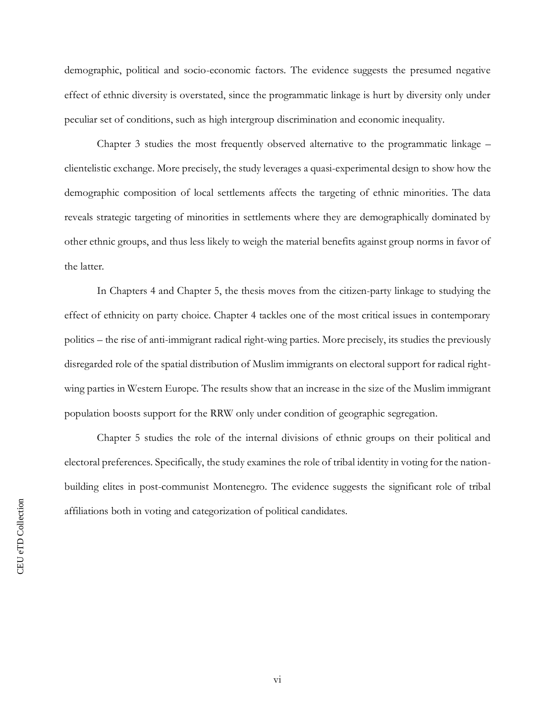demographic, political and socio-economic factors. The evidence suggests the presumed negative effect of ethnic diversity is overstated, since the programmatic linkage is hurt by diversity only under peculiar set of conditions, such as high intergroup discrimination and economic inequality.

Chapter 3 studies the most frequently observed alternative to the programmatic linkage – clientelistic exchange. More precisely, the study leverages a quasi-experimental design to show how the demographic composition of local settlements affects the targeting of ethnic minorities. The data reveals strategic targeting of minorities in settlements where they are demographically dominated by other ethnic groups, and thus less likely to weigh the material benefits against group norms in favor of the latter.

In Chapters 4 and Chapter 5, the thesis moves from the citizen-party linkage to studying the effect of ethnicity on party choice. Chapter 4 tackles one of the most critical issues in contemporary politics – the rise of anti-immigrant radical right-wing parties. More precisely, its studies the previously disregarded role of the spatial distribution of Muslim immigrants on electoral support for radical rightwing parties in Western Europe. The results show that an increase in the size of the Muslim immigrant population boosts support for the RRW only under condition of geographic segregation.

Chapter 5 studies the role of the internal divisions of ethnic groups on their political and electoral preferences. Specifically, the study examines the role of tribal identity in voting for the nationbuilding elites in post-communist Montenegro. The evidence suggests the significant role of tribal affiliations both in voting and categorization of political candidates.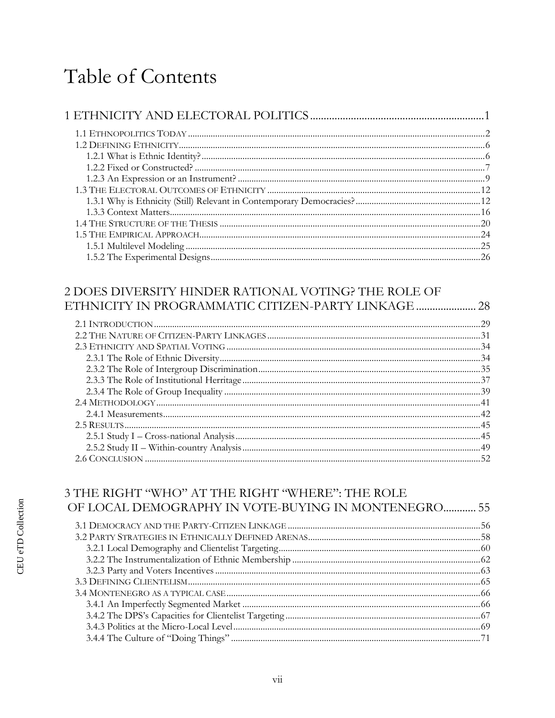# Table of Contents

#### 2 DOES DIVERSITY HINDER RATIONAL VOTING? THE ROLE OF ETHNICITY IN PROGRAMMATIC CITIZEN-PARTY LINKAGE ......................... 28

#### 3 THE RIGHT "WHO" AT THE RIGHT "WHERE": THE ROLE OF LOCAL DEMOGRAPHY IN VOTE-BUYING IN MONTENEGRO............ 55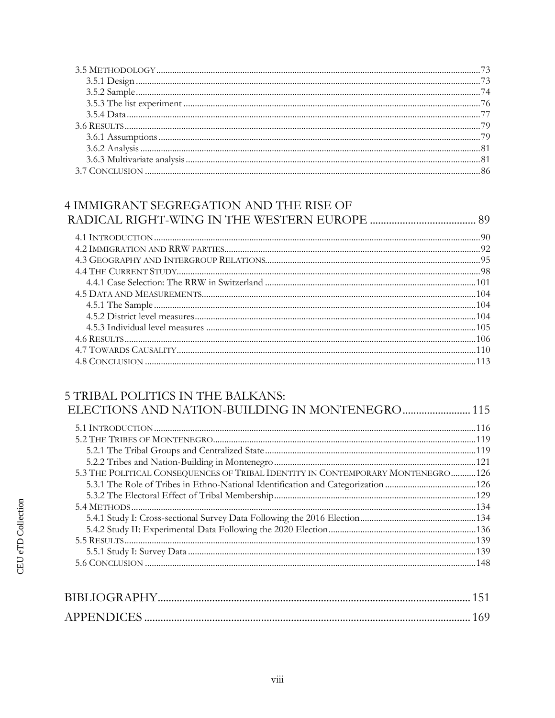#### 4 IMMIGRANT SEGREGATION AND THE RISE OF

#### **5 TRIBAL POLITICS IN THE BALKANS:**

| 5.3 THE POLITICAL CONSEQUENCES OF TRIBAL IDENTITY IN CONTEMPORARY MONTENEGRO126 |  |
|---------------------------------------------------------------------------------|--|
|                                                                                 |  |
|                                                                                 |  |
|                                                                                 |  |
|                                                                                 |  |
|                                                                                 |  |
|                                                                                 |  |
|                                                                                 |  |
|                                                                                 |  |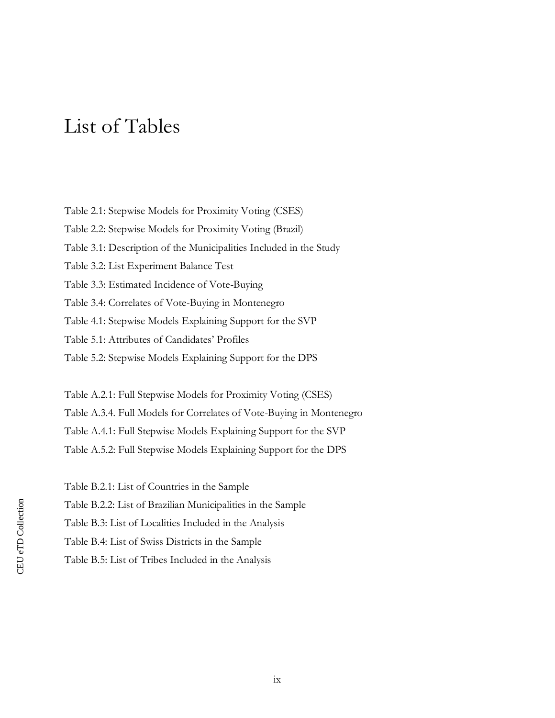### List of Tables

Table 2.1: Stepwise Models for Proximity Voting (CSES) Table 2.2: Stepwise Models for Proximity Voting (Brazil) Table 3.1: Description of the Municipalities Included in the Study Table 3.2: List Experiment Balance Test Table 3.3: Estimated Incidence of Vote-Buying Table 3.4: Correlates of Vote-Buying in Montenegro Table 4.1: Stepwise Models Explaining Support for the SVP Table 5.1: Attributes of Candidates' Profiles

Table 5.2: Stepwise Models Explaining Support for the DPS

Table A.2.1: Full Stepwise Models for Proximity Voting (CSES) Table A.3.4. Full Models for Correlates of Vote-Buying in Montenegro Table A.4.1: Full Stepwise Models Explaining Support for the SVP Table A.5.2: Full Stepwise Models Explaining Support for the DPS

- Table B.2.1: List of Countries in the Sample
- Table B.2.2: List of Brazilian Municipalities in the Sample
- Table B.3: List of Localities Included in the Analysis
- Table B.4: List of Swiss Districts in the Sample
- Table B.5: List of Tribes Included in the Analysis